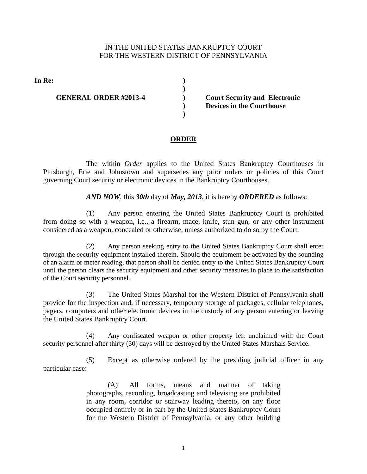## IN THE UNITED STATES BANKRUPTCY COURT FOR THE WESTERN DISTRICT OF PENNSYLVANIA

**)**

**) )**

**)** 

**In Re: )**

## **GENERAL ORDER #2013-4**

 **Court Security and Electronic Devices in the Courthouse** 

## **ORDER**

The within *Order* applies to the United States Bankruptcy Courthouses in Pittsburgh, Erie and Johnstown and supersedes any prior orders or policies of this Court governing Court security or electronic devices in the Bankruptcy Courthouses.

## *AND NOW*, this *30th* day of *May, 2013*, it is hereby *ORDERED* as follows:

(1) Any person entering the United States Bankruptcy Court is prohibited from doing so with a weapon, i.e., a firearm, mace, knife, stun gun, or any other instrument considered as a weapon, concealed or otherwise, unless authorized to do so by the Court.

(2) Any person seeking entry to the United States Bankruptcy Court shall enter through the security equipment installed therein. Should the equipment be activated by the sounding of an alarm or meter reading, that person shall be denied entry to the United States Bankruptcy Court until the person clears the security equipment and other security measures in place to the satisfaction of the Court security personnel.

(3) The United States Marshal for the Western District of Pennsylvania shall provide for the inspection and, if necessary, temporary storage of packages, cellular telephones, pagers, computers and other electronic devices in the custody of any person entering or leaving the United States Bankruptcy Court.

(4) Any confiscated weapon or other property left unclaimed with the Court security personnel after thirty (30) days will be destroyed by the United States Marshals Service.

(5) Except as otherwise ordered by the presiding judicial officer in any particular case:

> (A) All forms, means and manner of taking photographs, recording, broadcasting and televising are prohibited in any room, corridor or stairway leading thereto, on any floor occupied entirely or in part by the United States Bankruptcy Court for the Western District of Pennsylvania, or any other building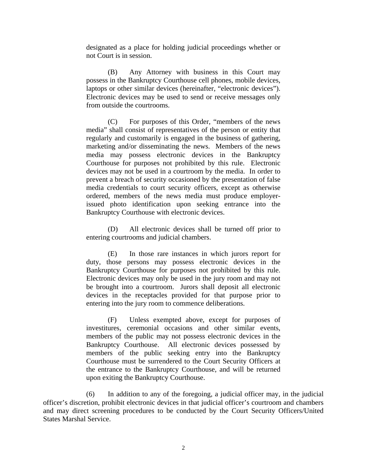designated as a place for holding judicial proceedings whether or not Court is in session.

(B) Any Attorney with business in this Court may possess in the Bankruptcy Courthouse cell phones, mobile devices, laptops or other similar devices (hereinafter, "electronic devices"). Electronic devices may be used to send or receive messages only from outside the courtrooms.

(C) For purposes of this Order, "members of the news media" shall consist of representatives of the person or entity that regularly and customarily is engaged in the business of gathering, marketing and/or disseminating the news. Members of the news media may possess electronic devices in the Bankruptcy Courthouse for purposes not prohibited by this rule. Electronic devices may not be used in a courtroom by the media. In order to prevent a breach of security occasioned by the presentation of false media credentials to court security officers, except as otherwise ordered, members of the news media must produce employerissued photo identification upon seeking entrance into the Bankruptcy Courthouse with electronic devices.

(D) All electronic devices shall be turned off prior to entering courtrooms and judicial chambers.

(E) In those rare instances in which jurors report for duty, those persons may possess electronic devices in the Bankruptcy Courthouse for purposes not prohibited by this rule. Electronic devices may only be used in the jury room and may not be brought into a courtroom. Jurors shall deposit all electronic devices in the receptacles provided for that purpose prior to entering into the jury room to commence deliberations.

(F) Unless exempted above, except for purposes of investitures, ceremonial occasions and other similar events, members of the public may not possess electronic devices in the Bankruptcy Courthouse. All electronic devices possessed by members of the public seeking entry into the Bankruptcy Courthouse must be surrendered to the Court Security Officers at the entrance to the Bankruptcy Courthouse, and will be returned upon exiting the Bankruptcy Courthouse.

(6) In addition to any of the foregoing, a judicial officer may, in the judicial officer's discretion, prohibit electronic devices in that judicial officer's courtroom and chambers and may direct screening procedures to be conducted by the Court Security Officers/United States Marshal Service.